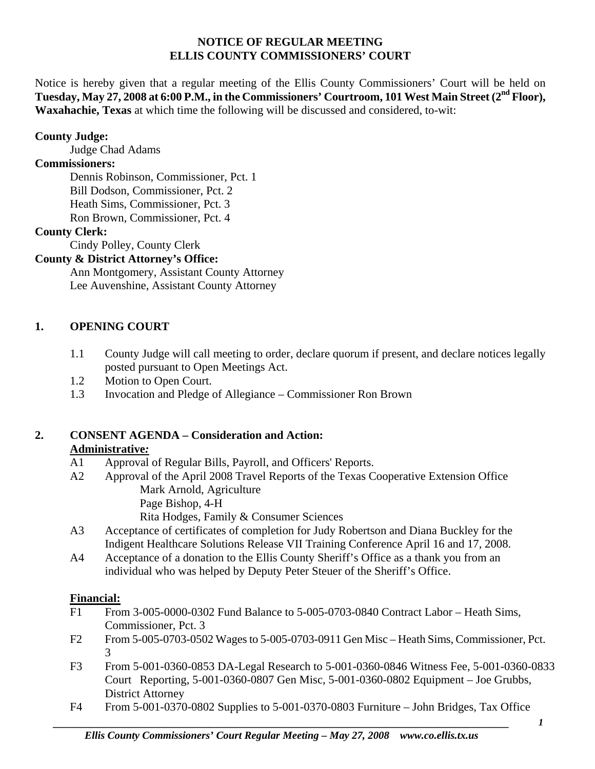#### **NOTICE OF REGULAR MEETING ELLIS COUNTY COMMISSIONERS' COURT**

Notice is hereby given that a regular meeting of the Ellis County Commissioners' Court will be held on Tuesday, May 27, 2008 at 6:00 P.M., in the Commissioners' Courtroom, 101 West Main Street (2<sup>nd</sup> Floor), **Waxahachie, Texas** at which time the following will be discussed and considered, to-wit:

### **County Judge:**

Judge Chad Adams

### **Commissioners:**

 Dennis Robinson, Commissioner, Pct. 1 Bill Dodson, Commissioner, Pct. 2 Heath Sims, Commissioner, Pct. 3 Ron Brown, Commissioner, Pct. 4

### **County Clerk:**

Cindy Polley, County Clerk

### **County & District Attorney's Office:**

 Ann Montgomery, Assistant County Attorney Lee Auvenshine, Assistant County Attorney

### **1. OPENING COURT**

- 1.1 County Judge will call meeting to order, declare quorum if present, and declare notices legally posted pursuant to Open Meetings Act.
- 1.2 Motion to Open Court.
- 1.3 Invocation and Pledge of Allegiance Commissioner Ron Brown

# **2. CONSENT AGENDA – Consideration and Action:**

### **Administrative***:*

- A1 Approval of Regular Bills, Payroll, and Officers' Reports.
- A2 Approval of the April 2008 Travel Reports of the Texas Cooperative Extension Office Mark Arnold, Agriculture Page Bishop, 4-H

Rita Hodges, Family & Consumer Sciences

- A3 Acceptance of certificates of completion for Judy Robertson and Diana Buckley for the Indigent Healthcare Solutions Release VII Training Conference April 16 and 17, 2008.
- A4 Acceptance of a donation to the Ellis County Sheriff's Office as a thank you from an individual who was helped by Deputy Peter Steuer of the Sheriff's Office.

#### **Financial:**

- F1 From 3-005-0000-0302 Fund Balance to 5-005-0703-0840 Contract Labor Heath Sims, Commissioner, Pct. 3
- F2 From 5-005-0703-0502 Wages to 5-005-0703-0911 Gen Misc Heath Sims, Commissioner, Pct. 3
	- F3 From 5-001-0360-0853 DA-Legal Research to 5-001-0360-0846 Witness Fee, 5-001-0360-0833 Court Reporting, 5-001-0360-0807 Gen Misc, 5-001-0360-0802 Equipment – Joe Grubbs, District Attorney
	- F4 From 5-001-0370-0802 Supplies to 5-001-0370-0803 Furniture John Bridges, Tax Office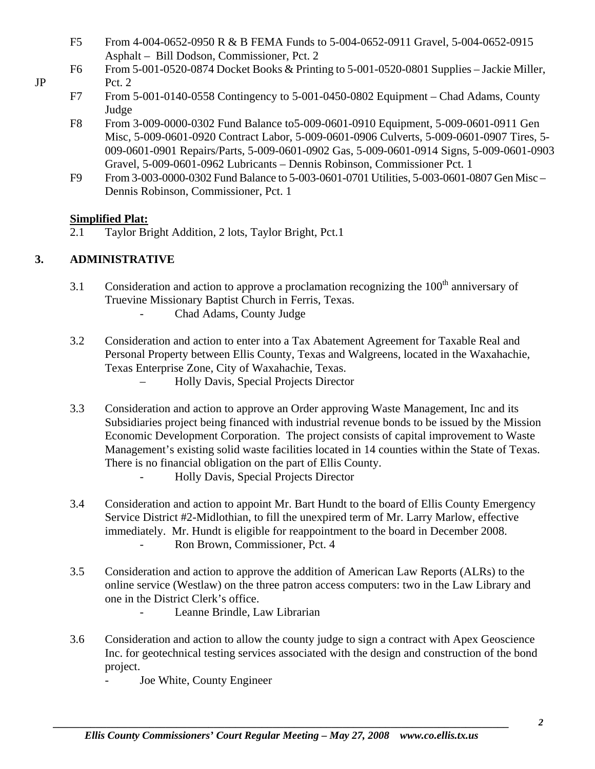- F5 From 4-004-0652-0950 R & B FEMA Funds to 5-004-0652-0911 Gravel, 5-004-0652-0915 Asphalt – Bill Dodson, Commissioner, Pct. 2
- F6 From 5-001-0520-0874 Docket Books & Printing to 5-001-0520-0801 Supplies Jackie Miller, JP Pct. 2
	- F7 From 5-001-0140-0558 Contingency to 5-001-0450-0802 Equipment Chad Adams, County Judge
	- F8 From 3-009-0000-0302 Fund Balance to5-009-0601-0910 Equipment, 5-009-0601-0911 Gen Misc, 5-009-0601-0920 Contract Labor, 5-009-0601-0906 Culverts, 5-009-0601-0907 Tires, 5- 009-0601-0901 Repairs/Parts, 5-009-0601-0902 Gas, 5-009-0601-0914 Signs, 5-009-0601-0903 Gravel, 5-009-0601-0962 Lubricants – Dennis Robinson, Commissioner Pct. 1
	- F9 From 3-003-0000-0302 Fund Balance to 5-003-0601-0701 Utilities, 5-003-0601-0807 Gen Misc Dennis Robinson, Commissioner, Pct. 1

## **Simplified Plat:**

2.1 Taylor Bright Addition, 2 lots, Taylor Bright, Pct.1

# **3. ADMINISTRATIVE**

- 3.1 Consideration and action to approve a proclamation recognizing the  $100<sup>th</sup>$  anniversary of Truevine Missionary Baptist Church in Ferris, Texas.
	- Chad Adams, County Judge
- 3.2 Consideration and action to enter into a Tax Abatement Agreement for Taxable Real and Personal Property between Ellis County, Texas and Walgreens, located in the Waxahachie, Texas Enterprise Zone, City of Waxahachie, Texas.
	- Holly Davis, Special Projects Director
- 3.3 Consideration and action to approve an Order approving Waste Management, Inc and its Subsidiaries project being financed with industrial revenue bonds to be issued by the Mission Economic Development Corporation. The project consists of capital improvement to Waste Management's existing solid waste facilities located in 14 counties within the State of Texas. There is no financial obligation on the part of Ellis County. - Holly Davis, Special Projects Director
- 3.4 Consideration and action to appoint Mr. Bart Hundt to the board of Ellis County Emergency Service District #2-Midlothian, to fill the unexpired term of Mr. Larry Marlow, effective immediately. Mr. Hundt is eligible for reappointment to the board in December 2008. - Ron Brown, Commissioner, Pct. 4
- 3.5 Consideration and action to approve the addition of American Law Reports (ALRs) to the online service (Westlaw) on the three patron access computers: two in the Law Library and one in the District Clerk's office.
	- Leanne Brindle, Law Librarian
- 3.6 Consideration and action to allow the county judge to sign a contract with Apex Geoscience Inc. for geotechnical testing services associated with the design and construction of the bond project.
	- Joe White, County Engineer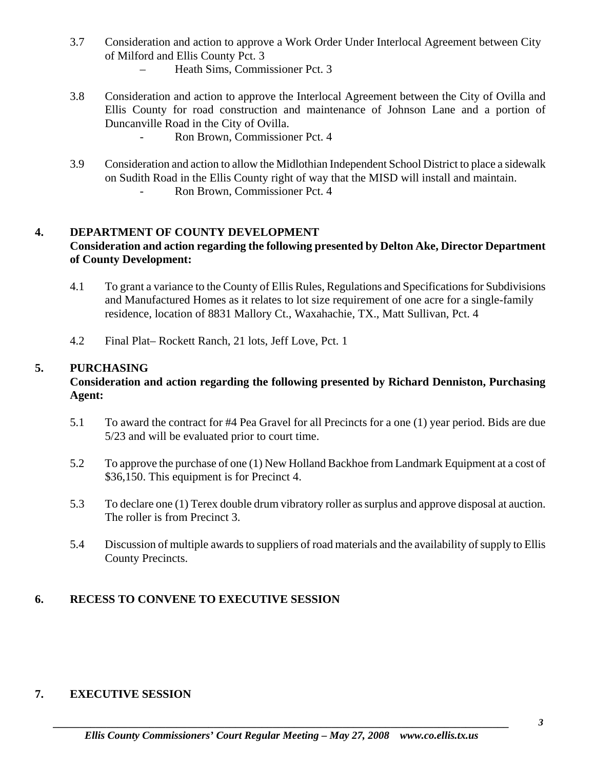- 3.7 Consideration and action to approve a Work Order Under Interlocal Agreement between City of Milford and Ellis County Pct. 3
	- Heath Sims, Commissioner Pct. 3
- 3.8 Consideration and action to approve the Interlocal Agreement between the City of Ovilla and Ellis County for road construction and maintenance of Johnson Lane and a portion of Duncanville Road in the City of Ovilla.
	- Ron Brown, Commissioner Pct. 4
- 3.9 Consideration and action to allow the Midlothian Independent School District to place a sidewalk on Sudith Road in the Ellis County right of way that the MISD will install and maintain.
	- Ron Brown, Commissioner Pct. 4

## **4. DEPARTMENT OF COUNTY DEVELOPMENT**

## **Consideration and action regarding the following presented by Delton Ake, Director Department of County Development:**

- 4.1 To grant a variance to the County of Ellis Rules, Regulations and Specifications for Subdivisions and Manufactured Homes as it relates to lot size requirement of one acre for a single-family residence, location of 8831 Mallory Ct., Waxahachie, TX., Matt Sullivan, Pct. 4
- 4.2 Final Plat– Rockett Ranch, 21 lots, Jeff Love, Pct. 1

### **5. PURCHASING**

### **Consideration and action regarding the following presented by Richard Denniston, Purchasing Agent:**

- 5.1 To award the contract for #4 Pea Gravel for all Precincts for a one (1) year period. Bids are due 5/23 and will be evaluated prior to court time.
- 5.2 To approve the purchase of one (1) New Holland Backhoe from Landmark Equipment at a cost of \$36,150. This equipment is for Precinct 4.
- 5.3 To declare one (1) Terex double drum vibratory roller as surplus and approve disposal at auction. The roller is from Precinct 3.
- 5.4 Discussion of multiple awards to suppliers of road materials and the availability of supply to Ellis County Precincts.

# **6. RECESS TO CONVENE TO EXECUTIVE SESSION**

### **7. EXECUTIVE SESSION**